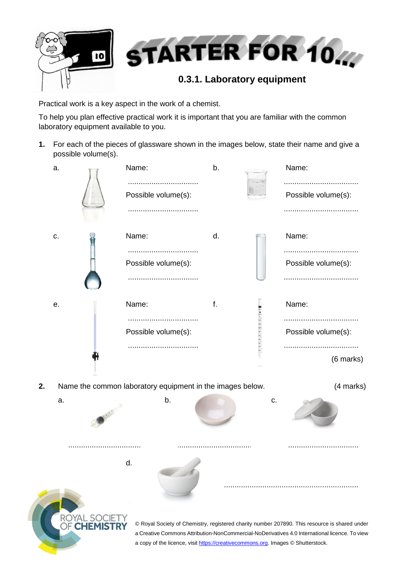

Practical work is a key aspect in the work of a chemist.

To help you plan effective practical work it is important that you are familiar with the common laboratory equipment available to you.

**1.** For each of the pieces of glassware shown in the images below, state their name and give a possible volume(s).

| a.             |  | Name:                                                                                  | b. |    | Name:<br>                                                                                                                                                                                      |
|----------------|--|----------------------------------------------------------------------------------------|----|----|------------------------------------------------------------------------------------------------------------------------------------------------------------------------------------------------|
|                |  | Possible volume(s):<br>                                                                |    |    | Possible volume(s):                                                                                                                                                                            |
| c.             |  | Name:<br>Possible volume(s):                                                           | d. |    | Name:<br><br>Possible volume(s):                                                                                                                                                               |
| е.             |  | Name:<br>Possible volume(s):                                                           | f. |    | Name:<br>Possible volume(s):<br>(6 marks)                                                                                                                                                      |
| 2.<br>a.       |  | Name the common laboratory equipment in the images below.<br>b.                        |    | c. | (4 marks)                                                                                                                                                                                      |
| R <sup>(</sup> |  | d.<br>a copy of the licence, visit https://creativecommons.org. Images © Shutterstock. |    |    | © Royal Society of Chemistry, registered charity number 207890. This resource is shared under<br>a Creative Commons Attribution-NonCommercial-NoDerivatives 4.0 International licence. To view |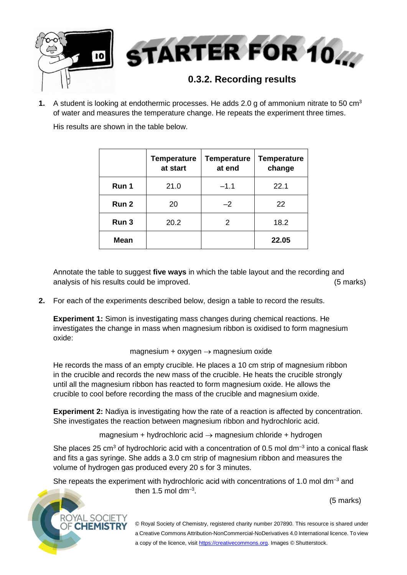

**1.** A student is looking at endothermic processes. He adds 2.0 g of ammonium nitrate to 50 cm<sup>3</sup> of water and measures the temperature change. He repeats the experiment three times.

His results are shown in the table below.

|             | <b>Temperature</b><br>at start | <b>Temperature</b><br>at end | <b>Temperature</b><br>change |
|-------------|--------------------------------|------------------------------|------------------------------|
| Run 1       | 21.0                           | $-1.1$                       | 22.1                         |
| Run 2       | 20                             | $-2$                         | 22                           |
| Run 3       | 20.2                           | 2                            | 18.2                         |
| <b>Mean</b> |                                |                              | 22.05                        |

Annotate the table to suggest **five ways** in which the table layout and the recording and analysis of his results could be improved. (5 marks)

**2.** For each of the experiments described below, design a table to record the results.

**Experiment 1:** Simon is investigating mass changes during chemical reactions. He investigates the change in mass when magnesium ribbon is oxidised to form magnesium oxide:

## magnesium +  $oxygen \rightarrow magnesium oxide$

He records the mass of an empty crucible. He places a 10 cm strip of magnesium ribbon in the crucible and records the new mass of the crucible. He heats the crucible strongly until all the magnesium ribbon has reacted to form magnesium oxide. He allows the crucible to cool before recording the mass of the crucible and magnesium oxide.

**Experiment 2:** Nadiya is investigating how the rate of a reaction is affected by concentration. She investigates the reaction between magnesium ribbon and hydrochloric acid.

magnesium + hydrochloric acid  $\rightarrow$  magnesium chloride + hydrogen

She places 25 cm<sup>3</sup> of hydrochloric acid with a concentration of 0.5 mol dm<sup>-3</sup> into a conical flask and fits a gas syringe. She adds a 3.0 cm strip of magnesium ribbon and measures the volume of hydrogen gas produced every 20 s for 3 minutes.

She repeats the experiment with hydrochloric acid with concentrations of 1.0 mol dm<sup>-3</sup> and then  $1.5$  mol dm<sup>-3</sup>.

(5 marks)



© Royal Society of Chemistry, registered charity number 207890. This resource is shared under a Creative Commons Attribution-NonCommercial-NoDerivatives 4.0 International licence. To view a copy of the licence, visi[t https://creativecommons.org.](https://creativecommons.org/) Images © Shutterstock.